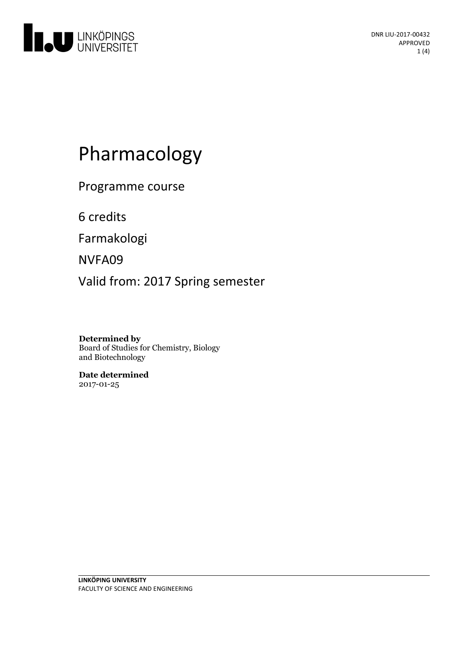

# Pharmacology

Programme course

6 credits

Farmakologi

NVFA09

Valid from: 2017 Spring semester

**Determined by**

Board of Studies for Chemistry, Biology and Biotechnology

**Date determined** 2017-01-25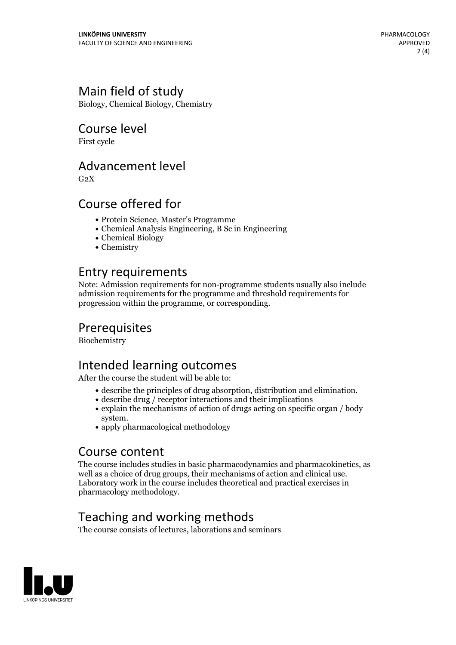# Main field of study

Biology, Chemical Biology, Chemistry

### Course level

First cycle

#### Advancement level

 $G<sub>2</sub>X$ 

## Course offered for

- Protein Science, Master's Programme
- Chemical Analysis Engineering, B Sc in Engineering
- Chemical Biology
- Chemistry

## Entry requirements

Note: Admission requirements for non-programme students usually also include admission requirements for the programme and threshold requirements for progression within the programme, or corresponding.

# Prerequisites

Biochemistry

# Intended learning outcomes

After the course the student will be able to:

- $\bullet$  describe the principles of drug absorption, distribution and elimination.  $\bullet$  describe drug / receptor interactions and their implications
- 
- $\bullet$  explain the mechanisms of action of drugs acting on specific organ / body system.
- $\bullet$  apply pharmacological methodology

#### Course content

The course includes studies in basic pharmacodynamics and pharmacokinetics, as well as <sup>a</sup> choice of drug groups, their mechanisms of action and clinical use. Laboratory work in the course includes theoretical and practical exercises in pharmacology methodology.

# Teaching and working methods

The course consists of lectures, laborations and seminars

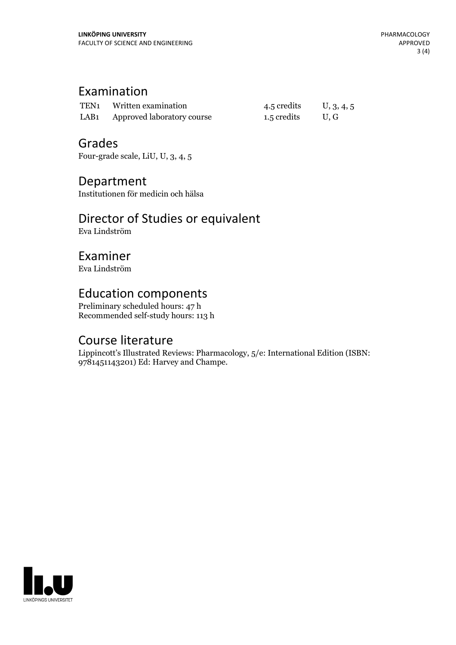# Examination

| TEN1 Written examination        | 4.5 credits | U, 3, 4, 5 |
|---------------------------------|-------------|------------|
| LAB1 Approved laboratory course | 1.5 credits | U.G        |

### Grades

Four-grade scale, LiU, U, 3, 4, 5

#### Department

Institutionen för medicin och hälsa

# Director of Studies or equivalent

Eva Lindström

## Examiner

Eva Lindström

## Education components

Preliminary scheduled hours: 47 h Recommended self-study hours: 113 h

## Course literature

Lippincott's Illustrated Reviews: Pharmacology, 5/e: International Edition (ISBN: 9781451143201) Ed: Harvey and Champe.